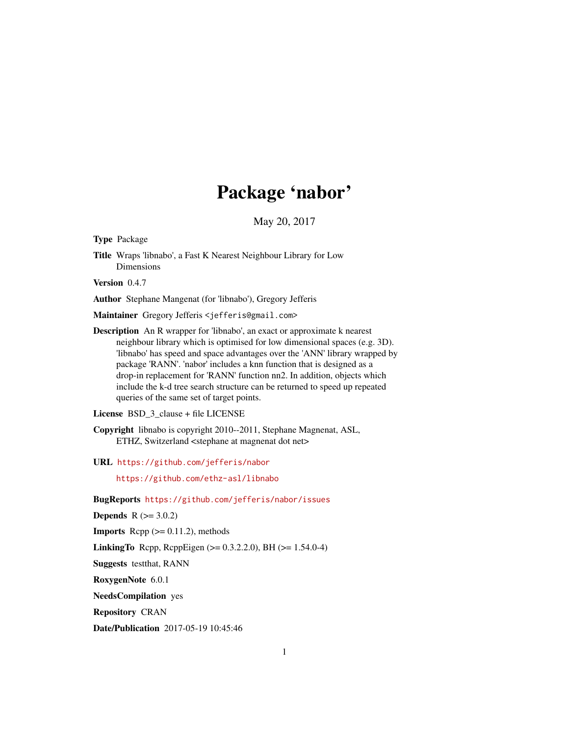## Package 'nabor'

May 20, 2017

<span id="page-0-0"></span>Type Package

Title Wraps 'libnabo', a Fast K Nearest Neighbour Library for Low Dimensions

Version 0.4.7

Author Stephane Mangenat (for 'libnabo'), Gregory Jefferis

Maintainer Gregory Jefferis <jefferis@gmail.com>

Description An R wrapper for 'libnabo', an exact or approximate k nearest neighbour library which is optimised for low dimensional spaces (e.g. 3D). 'libnabo' has speed and space advantages over the 'ANN' library wrapped by package 'RANN'. 'nabor' includes a knn function that is designed as a drop-in replacement for 'RANN' function nn2. In addition, objects which include the k-d tree search structure can be returned to speed up repeated queries of the same set of target points.

License BSD\_3\_clause + file LICENSE

Copyright libnabo is copyright 2010--2011, Stephane Magnenat, ASL, ETHZ, Switzerland <stephane at magnenat dot net>

URL <https://github.com/jefferis/nabor>

<https://github.com/ethz-asl/libnabo>

BugReports <https://github.com/jefferis/nabor/issues>

**Depends**  $R (= 3.0.2)$ 

**Imports** Rcpp  $(>= 0.11.2)$ , methods

**LinkingTo** Rcpp, RcppEigen ( $> = 0.3.2.2.0$ ), BH ( $> = 1.54.0-4$ )

Suggests testthat, RANN

RoxygenNote 6.0.1

NeedsCompilation yes

Repository CRAN

Date/Publication 2017-05-19 10:45:46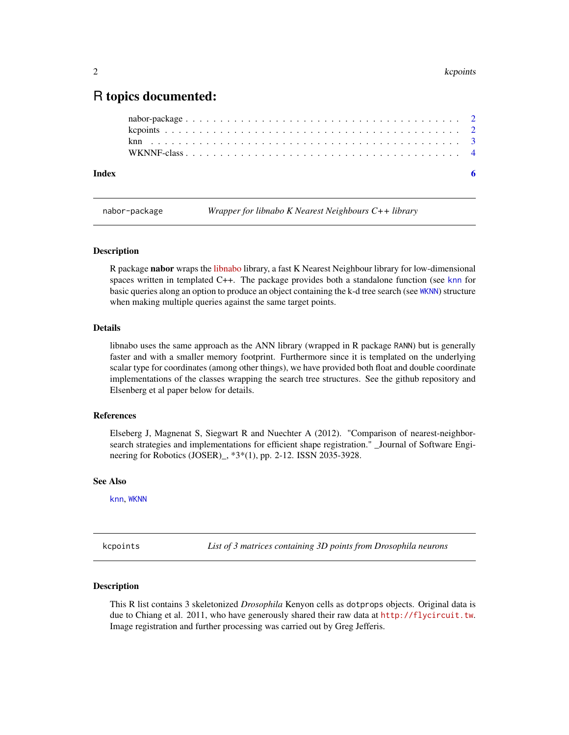### <span id="page-1-0"></span>R topics documented:

nabor-package *Wrapper for libnabo K Nearest Neighbours C++ library*

#### **Description**

R package nabor wraps the [libnabo](https://github.com/ethz-asl/libnabo) library, a fast K Nearest Neighbour library for low-dimensional spaces written in templated C++. The package provides both a standalone function (see [knn](#page-2-1) for basic queries along an option to produce an object containing the k-d tree search (see [WKNN](#page-3-1)) structure when making multiple queries against the same target points.

#### Details

libnabo uses the same approach as the ANN library (wrapped in R package RANN) but is generally faster and with a smaller memory footprint. Furthermore since it is templated on the underlying scalar type for coordinates (among other things), we have provided both float and double coordinate implementations of the classes wrapping the search tree structures. See the github repository and Elsenberg et al paper below for details.

#### References

Elseberg J, Magnenat S, Siegwart R and Nuechter A (2012). "Comparison of nearest-neighborsearch strategies and implementations for efficient shape registration." \_Journal of Software Engineering for Robotics (JOSER)\_, \*3\*(1), pp. 2-12. ISSN 2035-3928.

#### See Also

[knn](#page-2-1), [WKNN](#page-3-1)

kcpoints *List of 3 matrices containing 3D points from Drosophila neurons*

#### Description

This R list contains 3 skeletonized *Drosophila* Kenyon cells as dotprops objects. Original data is due to Chiang et al. 2011, who have generously shared their raw data at <http://flycircuit.tw>. Image registration and further processing was carried out by Greg Jefferis.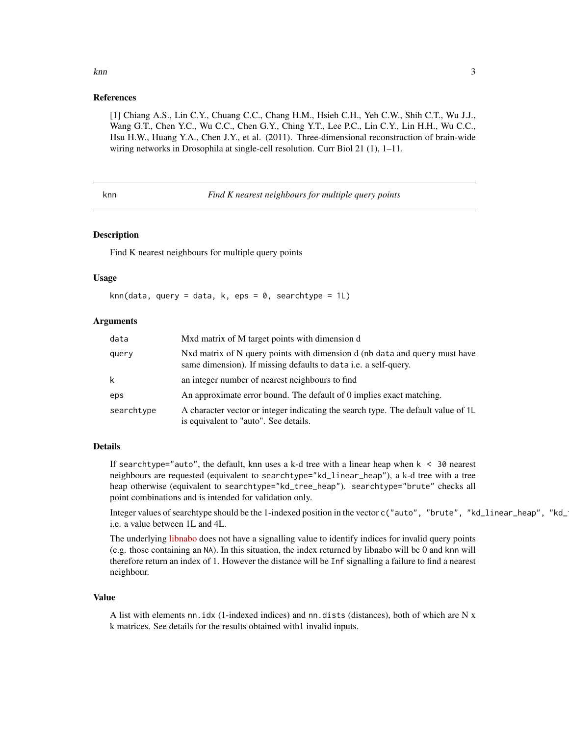### <span id="page-2-0"></span>References

[1] Chiang A.S., Lin C.Y., Chuang C.C., Chang H.M., Hsieh C.H., Yeh C.W., Shih C.T., Wu J.J., Wang G.T., Chen Y.C., Wu C.C., Chen G.Y., Ching Y.T., Lee P.C., Lin C.Y., Lin H.H., Wu C.C., Hsu H.W., Huang Y.A., Chen J.Y., et al. (2011). Three-dimensional reconstruction of brain-wide wiring networks in Drosophila at single-cell resolution. Curr Biol 21 (1), 1-11.

<span id="page-2-1"></span>knn *Find K nearest neighbours for multiple query points*

#### Description

Find K nearest neighbours for multiple query points

#### Usage

knn(data, query = data, k, eps =  $0$ , searchtype =  $1L$ )

#### Arguments

| data       | Mxd matrix of M target points with dimension d                                                                                                |
|------------|-----------------------------------------------------------------------------------------------------------------------------------------------|
| query      | Nxd matrix of N query points with dimension d (nb data and query must have<br>same dimension). If missing defaults to data i.e. a self-query. |
| k          | an integer number of nearest neighbours to find                                                                                               |
| eps        | An approximate error bound. The default of 0 implies exact matching.                                                                          |
| searchtype | A character vector or integer indicating the search type. The default value of 1L<br>is equivalent to "auto". See details.                    |

#### Details

If searchtype="auto", the default, knn uses a k-d tree with a linear heap when  $k < 30$  nearest neighbours are requested (equivalent to searchtype="kd\_linear\_heap"), a k-d tree with a tree heap otherwise (equivalent to searchtype="kd\_tree\_heap"). searchtype="brute" checks all point combinations and is intended for validation only.

Integer values of searchtype should be the 1-indexed position in the vector c("auto", "brute", "kd\_linear\_heap", "kd\_ i.e. a value between 1L and 4L.

The underlying [libnabo](https://github.com/ethz-asl/libnabo) does not have a signalling value to identify indices for invalid query points (e.g. those containing an NA). In this situation, the index returned by libnabo will be 0 and knn will therefore return an index of 1. However the distance will be Inf signalling a failure to find a nearest neighbour.

#### Value

A list with elements nn.idx (1-indexed indices) and nn.dists (distances), both of which are N x k matrices. See details for the results obtained with1 invalid inputs.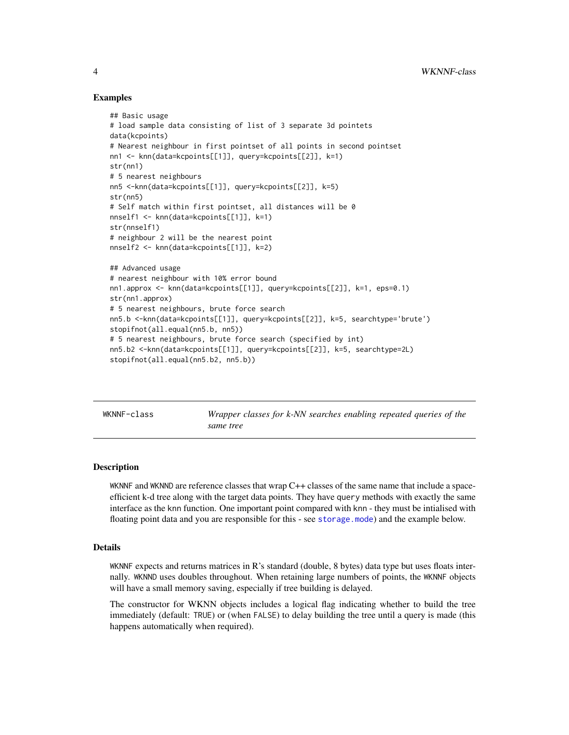#### Examples

```
## Basic usage
# load sample data consisting of list of 3 separate 3d pointets
data(kcpoints)
# Nearest neighbour in first pointset of all points in second pointset
nn1 <- knn(data=kcpoints[[1]], query=kcpoints[[2]], k=1)
str(nn1)
# 5 nearest neighbours
nn5 <-knn(data=kcpoints[[1]], query=kcpoints[[2]], k=5)
str(nn5)
# Self match within first pointset, all distances will be 0
nnself1 <- knn(data=kcpoints[[1]], k=1)
str(nnself1)
# neighbour 2 will be the nearest point
nnself2 <- knn(data=kcpoints[[1]], k=2)
## Advanced usage
# nearest neighbour with 10% error bound
nn1.approx <- knn(data=kcpoints[[1]], query=kcpoints[[2]], k=1, eps=0.1)
str(nn1.approx)
# 5 nearest neighbours, brute force search
nn5.b <-knn(data=kcpoints[[1]], query=kcpoints[[2]], k=5, searchtype='brute')
stopifnot(all.equal(nn5.b, nn5))
# 5 nearest neighbours, brute force search (specified by int)
nn5.b2 <-knn(data=kcpoints[[1]], query=kcpoints[[2]], k=5, searchtype=2L)
stopifnot(all.equal(nn5.b2, nn5.b))
```
WKNNF-class *Wrapper classes for k-NN searches enabling repeated queries of the same tree*

#### <span id="page-3-1"></span>**Description**

WKNNF and WKNND are reference classes that wrap C++ classes of the same name that include a spaceefficient k-d tree along with the target data points. They have query methods with exactly the same interface as the knn function. One important point compared with knn - they must be intialised with floating point data and you are responsible for this - see [storage.mode](#page-0-0)) and the example below.

#### Details

WKNNF expects and returns matrices in  $R$ 's standard (double, 8 bytes) data type but uses floats internally. WKNND uses doubles throughout. When retaining large numbers of points, the WKNNF objects will have a small memory saving, especially if tree building is delayed.

The constructor for WKNN objects includes a logical flag indicating whether to build the tree immediately (default: TRUE) or (when FALSE) to delay building the tree until a query is made (this happens automatically when required).

<span id="page-3-0"></span>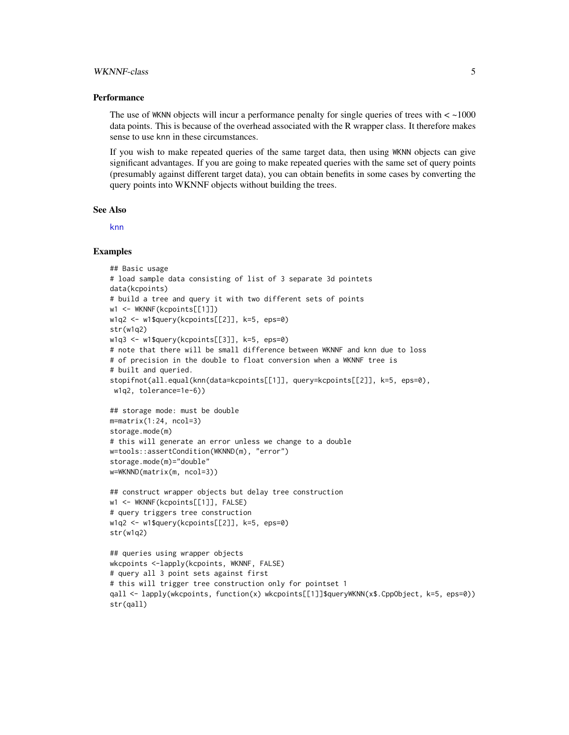#### <span id="page-4-0"></span>WKNNF-class 5

#### **Performance**

The use of WKNN objects will incur a performance penalty for single queries of trees with  $\lt$  ~1000 data points. This is because of the overhead associated with the R wrapper class. It therefore makes sense to use knn in these circumstances.

If you wish to make repeated queries of the same target data, then using WKNN objects can give significant advantages. If you are going to make repeated queries with the same set of query points (presumably against different target data), you can obtain benefits in some cases by converting the query points into WKNNF objects without building the trees.

#### See Also

[knn](#page-2-1)

#### Examples

```
## Basic usage
# load sample data consisting of list of 3 separate 3d pointets
data(kcpoints)
# build a tree and query it with two different sets of points
w1 <- WKNNF(kcpoints[[1]])
w1q2 <- w1$query(kcpoints[[2]], k=5, eps=0)
str(w1q2)
w1q3 <- w1$query(kcpoints[[3]], k=5, eps=0)
# note that there will be small difference between WKNNF and knn due to loss
# of precision in the double to float conversion when a WKNNF tree is
# built and queried.
stopifnot(all.equal(knn(data=kcpoints[[1]], query=kcpoints[[2]], k=5, eps=0),
w1q2, tolerance=1e-6))
## storage mode: must be double
m=matrix(1:24, ncol=3)
storage.mode(m)
# this will generate an error unless we change to a double
w=tools::assertCondition(WKNND(m), "error")
storage.mode(m)="double"
w=WKNND(matrix(m, ncol=3))
## construct wrapper objects but delay tree construction
w1 <- WKNNF(kcpoints[[1]], FALSE)
# query triggers tree construction
w1q2 <- w1$query(kcpoints[[2]], k=5, eps=0)
str(w1q2)
## queries using wrapper objects
wkcpoints <-lapply(kcpoints, WKNNF, FALSE)
# query all 3 point sets against first
# this will trigger tree construction only for pointset 1
qall <- lapply(wkcpoints, function(x) wkcpoints[[1]]$queryWKNN(x$.CppObject, k=5, eps=0))
str(qall)
```